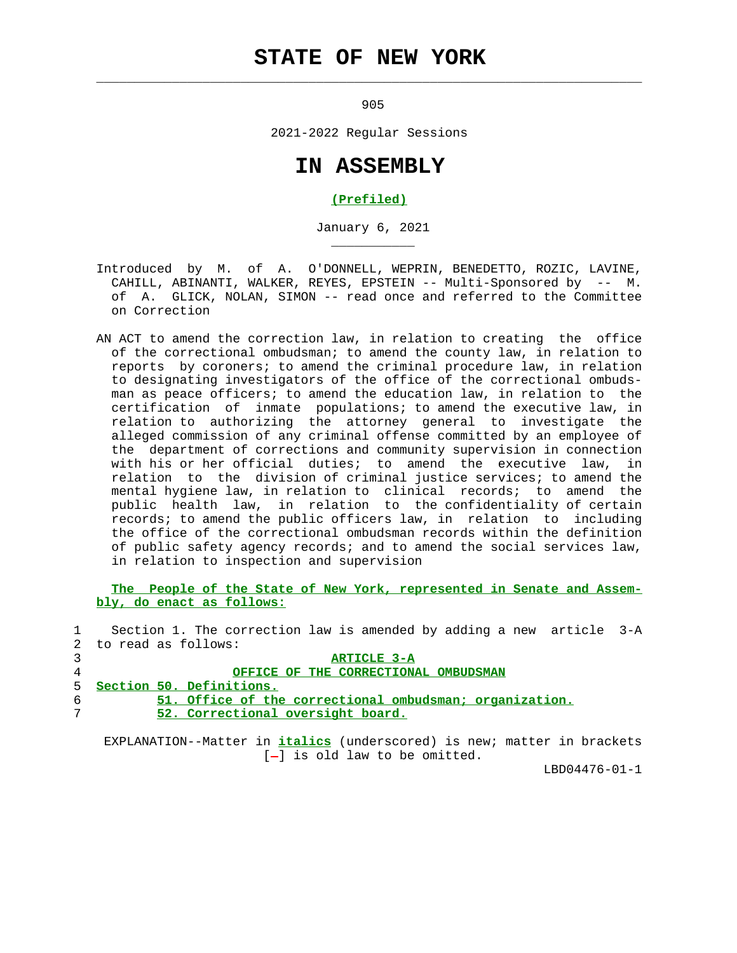# **STATE OF NEW YORK**

 $\mathcal{L}_\text{max} = \frac{1}{2} \sum_{i=1}^{n} \frac{1}{2} \sum_{i=1}^{n} \frac{1}{2} \sum_{i=1}^{n} \frac{1}{2} \sum_{i=1}^{n} \frac{1}{2} \sum_{i=1}^{n} \frac{1}{2} \sum_{i=1}^{n} \frac{1}{2} \sum_{i=1}^{n} \frac{1}{2} \sum_{i=1}^{n} \frac{1}{2} \sum_{i=1}^{n} \frac{1}{2} \sum_{i=1}^{n} \frac{1}{2} \sum_{i=1}^{n} \frac{1}{2} \sum_{i=1}^{n} \frac{1$ 

\_\_\_\_\_\_\_\_\_\_\_

<u>905</u>

2021-2022 Regular Sessions

## **IN ASSEMBLY**

#### **(Prefiled)**

January 6, 2021

- Introduced by M. of A. O'DONNELL, WEPRIN, BENEDETTO, ROZIC, LAVINE, CAHILL, ABINANTI, WALKER, REYES, EPSTEIN -- Multi-Sponsored by -- M. of A. GLICK, NOLAN, SIMON -- read once and referred to the Committee on Correction
- AN ACT to amend the correction law, in relation to creating the office of the correctional ombudsman; to amend the county law, in relation to reports by coroners; to amend the criminal procedure law, in relation to designating investigators of the office of the correctional ombuds man as peace officers; to amend the education law, in relation to the certification of inmate populations; to amend the executive law, in relation to authorizing the attorney general to investigate the alleged commission of any criminal offense committed by an employee of the department of corrections and community supervision in connection with his or her official duties; to amend the executive law, in relation to the division of criminal justice services; to amend the mental hygiene law, in relation to clinical records; to amend the public health law, in relation to the confidentiality of certain records; to amend the public officers law, in relation to including the office of the correctional ombudsman records within the definition of public safety agency records; and to amend the social services law, in relation to inspection and supervision

 **The People of the State of New York, represented in Senate and Assem bly, do enact as follows:**

 1 Section 1. The correction law is amended by adding a new article 3-A 2 to read as follows:

#### 3 **ARTICLE 3-A** 4 **OFFICE OF THE CORRECTIONAL OMBUDSMAN** 5 **Section 50. Definitions.** 6 **51. Office of the correctional ombudsman; organization.** 7 **52. Correctional oversight board.**

 EXPLANATION--Matter in **italics** (underscored) is new; matter in brackets  $[-]$  is old law to be omitted.

LBD04476-01-1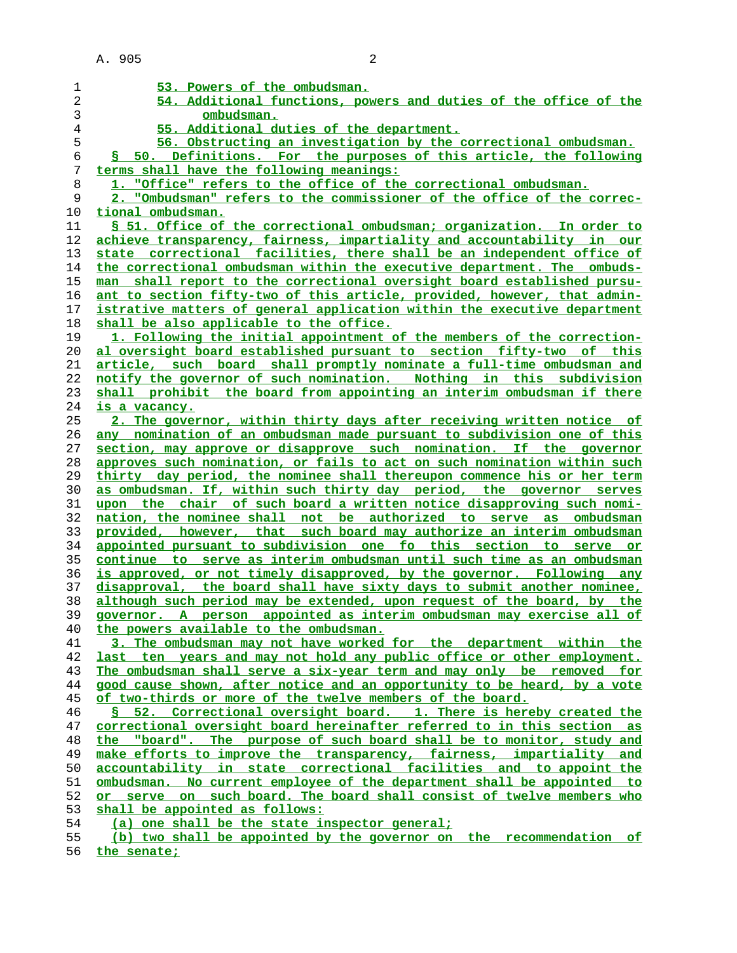| 1              | 53. Powers of the ombudsman.                                                  |
|----------------|-------------------------------------------------------------------------------|
| 2              | 54. Additional functions, powers and duties of the office of the              |
| 3              | ombudsman.                                                                    |
| $\overline{4}$ | 55. Additional duties of the department.                                      |
| 5              | 56. Obstructing an investigation by the correctional ombudsman.               |
| б              | § 50. Definitions. For the purposes of this article, the following            |
| 7              | terms shall have the following meanings:                                      |
| 8              | 1. "Office" refers to the office of the correctional ombudsman.               |
| 9              | 2. "Ombudsman" refers to the commissioner of the office of the correc-        |
| 10             | tional ombudsman.                                                             |
| 11             | § 51. Office of the correctional ombudsman; organization. In order to         |
| 12             | achieve transparency, fairness, impartiality and accountability in our        |
| 13             | state correctional facilities, there shall be an independent office of        |
| 14             | the correctional ombudsman within the executive department. The ombuds-       |
| 15             | man shall report to the correctional oversight board established pursu-       |
| 16             | ant to section fifty-two of this article, provided, however, that admin-      |
| 17             | istrative matters of general application within the executive department      |
| 18             | shall be also applicable to the office.                                       |
| 19             | 1. Following the initial appointment of the members of the correction-        |
| 20             | al oversight board established pursuant to section fifty-two of this          |
| 21             | article, such board shall promptly nominate a full-time ombudsman and         |
| 22             | notify the governor of such nomination. Nothing in this subdivision           |
| 23             | shall prohibit the board from appointing an interim ombudsman if there        |
| 24             | is a vacancy.                                                                 |
| 25             | 2. The governor, within thirty days after receiving written notice of         |
| 26             | any nomination of an ombudsman made pursuant to subdivision one of this       |
| 27             | section, may approve or disapprove such nomination. If the governor           |
| 28             | approves such nomination, or fails to act on such nomination within such      |
| 29             | thirty day period, the nominee shall thereupon commence his or her term       |
| 30             | as ombudsman. If, within such thirty day period, the governor serves          |
| 31             | upon the chair of such board a written notice disapproving such nomi-         |
| 32             | nation, the nominee shall not be authorized to serve as ombudsman             |
| 33             | provided, however, that such board may authorize an interim ombudsman         |
| 34             | appointed pursuant to subdivision one fo this section to serve or             |
| 35             | <u>continue to serve as interim ombudsman until such time as an ombudsman</u> |
| 36             | is approved, or not timely disapproved, by the governor. Following any        |
| 37             | disapproval, the board shall have sixty days to submit another nominee,       |
| 38             | although such period may be extended, upon request of the board, by the       |
| 39             | governor. A person appointed as interim ombudsman may exercise all of         |
| 40             | the powers available to the ombudsman.                                        |
| 41             | 3. The ombudsman may not have worked for the department within the            |
| 42             | last ten years and may not hold any public office or other employment.        |
| 43             | The ombudsman shall serve a six-year term and may only be removed for         |
| 44             | good cause shown, after notice and an opportunity to be heard, by a vote      |
| 45             | of two-thirds or more of the twelve members of the board.                     |
| 46             | § 52. Correctional oversight board. 1. There is hereby created the            |
| 47             | correctional oversight board hereinafter referred to in this section as       |
| 48             | the "board". The purpose of such board shall be to monitor, study and         |
| 49             | make efforts to improve the transparency, fairness, impartiality and          |
| 50             | accountability in state correctional facilities and to appoint the            |
| 51             | ombudsman. No current employee of the department shall be appointed to        |
| 52             | or serve on such board. The board shall consist of twelve members who         |
| 53             | shall be appointed as follows:                                                |
| 54             | (a) one shall be the state inspector general;                                 |
| 55             | (b) two shall be appointed by the governor on the recommendation of           |

**the senate;**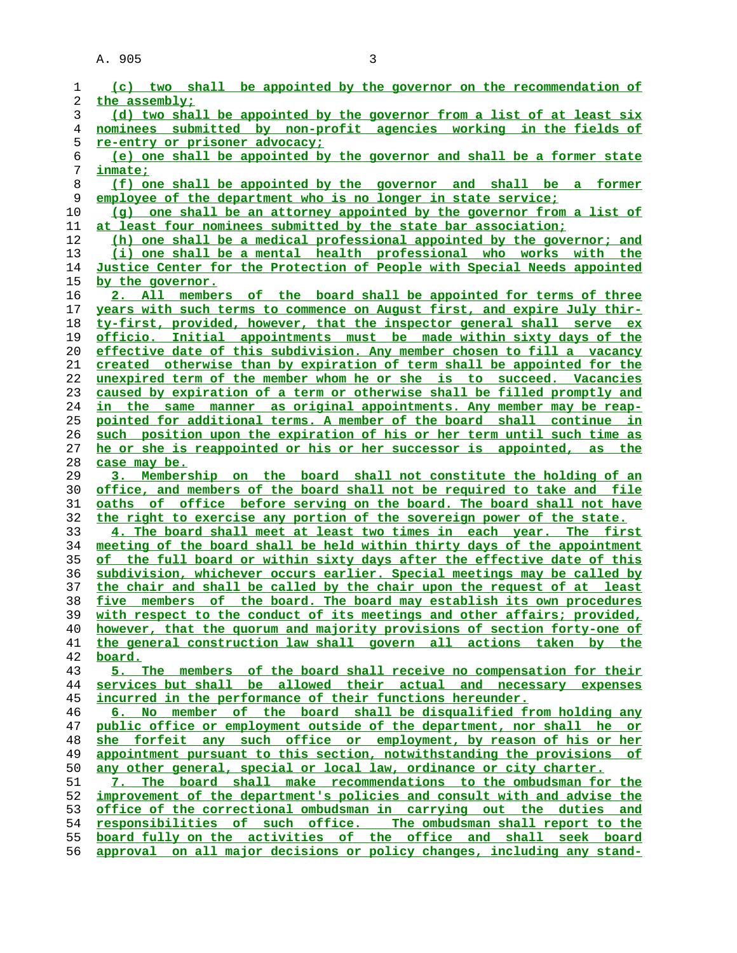| 1        | (c) two shall be appointed by the governor on the recommendation of                                                                      |
|----------|------------------------------------------------------------------------------------------------------------------------------------------|
| 2        | the assembly;                                                                                                                            |
| 3        | (d) two shall be appointed by the governor from a list of at least six                                                                   |
| 4        | nominees submitted by non-profit agencies working in the fields of                                                                       |
| 5        | <u>re-entry or prisoner advocacy;</u>                                                                                                    |
| 6        | (e) one shall be appointed by the governor and shall be a former state                                                                   |
| 7        | inmate;                                                                                                                                  |
| 8        | (f) one shall be appointed by the governor and shall be a former                                                                         |
| 9        | employee of the department who is no longer in state service;                                                                            |
| 10       | (q) one shall be an attorney appointed by the governor from a list of                                                                    |
| 11       | at least four nominees submitted by the state bar association;                                                                           |
| 12       | (h) one shall be a medical professional appointed by the governor; and                                                                   |
| 13       | (i) one shall be a mental health professional who works with the                                                                         |
| 14       | Justice Center for the Protection of People with Special Needs appointed                                                                 |
| 15       | by the governor.                                                                                                                         |
| 16       | 2. All members of the board shall be appointed for terms of three                                                                        |
| 17       | years with such terms to commence on August first, and expire July thir-                                                                 |
| 18       | ty-first, provided, however, that the inspector general shall serve ex                                                                   |
| 19       | officio. Initial appointments must be made within sixty days of the                                                                      |
| 20       | effective date of this subdivision. Any member chosen to fill a vacancy                                                                  |
| 21       | created otherwise than by expiration of term shall be appointed for the                                                                  |
| 22       | unexpired term of the member whom he or she is to succeed. Vacancies                                                                     |
| 23       | caused by expiration of a term or otherwise shall be filled promptly and                                                                 |
| 24       | in the same manner as original appointments. Any member may be reap-                                                                     |
| 25       | pointed for additional terms. A member of the board shall continue in                                                                    |
| 26       | such position upon the expiration of his or her term until such time as                                                                  |
| 27       | he or she is reappointed or his or her successor is appointed, as the                                                                    |
| 28       | case may be.                                                                                                                             |
| 29       | 3. Membership on the board shall not constitute the holding of an                                                                        |
| 30       | office, and members of the board shall not be required to take and file                                                                  |
| 31       | oaths of office before serving on the board. The board shall not have                                                                    |
| 32       | the right to exercise any portion of the sovereign power of the state.                                                                   |
| 33       | 4. The board shall meet at least two times in each year. The first                                                                       |
| 34       | meeting of the board shall be held within thirty days of the appointment                                                                 |
| 35       | of the full board or within sixty days after the effective date of this                                                                  |
| 36       | subdivision, whichever occurs earlier. Special meetings may be called by                                                                 |
| 37       | the chair and shall be called by the chair upon the request of at least                                                                  |
| 38       | five members of the board. The board may establish its own procedures                                                                    |
| 39       | with respect to the conduct of its meetings and other affairs; provided,                                                                 |
| 40       | however, that the quorum and majority provisions of section forty-one of                                                                 |
| 41       | the general construction law shall govern all actions taken by the                                                                       |
| 42<br>43 | board.                                                                                                                                   |
| 44       | 5. The members of the board shall receive no compensation for their<br>services but shall be allowed their actual and necessary expenses |
| 45       | incurred in the performance of their functions hereunder.                                                                                |
| 46       | 6. No member of the board shall be disqualified from holding any                                                                         |
| 47       | public office or employment outside of the department, nor shall he or                                                                   |
| 48       | she forfeit any such office or employment, by reason of his or her                                                                       |
| 49       | appointment pursuant to this section, notwithstanding the provisions of                                                                  |
| 50       | any other general, special or local law, ordinance or city charter.                                                                      |
| 51       | 7. The board shall make recommendations to the ombudsman for the                                                                         |
| 52       | improvement of the department's policies and consult with and advise the                                                                 |
| 53       | office of the correctional ombudsman in carrying out the duties and                                                                      |
| 54       | responsibilities of such office. The ombudsman shall report to the                                                                       |
| 55       | board fully on the activities of the office and shall seek board                                                                         |
| 56       | approval on all major decisions or policy changes, including any stand-                                                                  |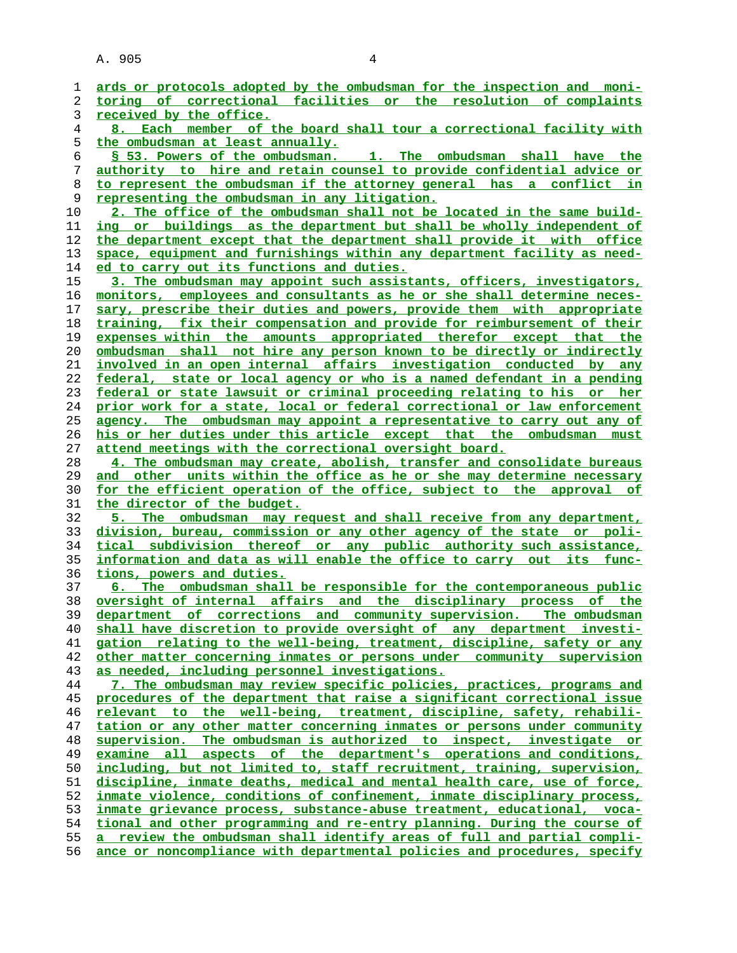| 1              | ards or protocols adopted by the ombudsman for the inspection and moni-  |
|----------------|--------------------------------------------------------------------------|
| 2              | toring of correctional facilities or the resolution of complaints        |
| 3              | received by the office.                                                  |
| $\overline{4}$ | 8. Each member of the board shall tour a correctional facility with      |
| 5              | the ombudsman at least annually.                                         |
| 6              | \$ 53. Powers of the ombudsman. 1. The ombudsman shall have the          |
| 7              | authority to hire and retain counsel to provide confidential advice or   |
| 8              | to represent the ombudsman if the attorney general has a conflict in     |
| 9              | representing the ombudsman in any litigation.                            |
| 10             | 2. The office of the ombudsman shall not be located in the same build-   |
| 11             | ing or buildings as the department but shall be wholly independent of    |
| 12             | the department except that the department shall provide it with office   |
| 13             | space, equipment and furnishings within any department facility as need- |
| 14             | ed to carry out its functions and duties.                                |
| 15             | 3. The ombudsman may appoint such assistants, officers, investigators,   |
| 16             | monitors, employees and consultants as he or she shall determine neces-  |
| 17             | sary, prescribe their duties and powers, provide them with appropriate   |
| 18             | training, fix their compensation and provide for reimbursement of their  |
| 19             | expenses within the amounts appropriated therefor except that the        |
| 20             | ombudsman shall not hire any person known to be directly or indirectly   |
| 21             | involved in an open internal affairs investigation conducted by any      |
| 22             | federal, state or local agency or who is a named defendant in a pending  |
| 23             | federal or state lawsuit or criminal proceeding relating to his or her   |
| 24             | prior work for a state, local or federal correctional or law enforcement |
| 25             | agency. The ombudsman may appoint a representative to carry out any of   |
| 26             | his or her duties under this article except that the ombudsman must      |
| 27             | attend meetings with the correctional oversight board.                   |
| 28             | 4. The ombudsman may create, abolish, transfer and consolidate bureaus   |
| 29             | and other units within the office as he or she may determine necessary   |
| 30             | for the efficient operation of the office, subject to the approval of    |
| 31             | the director of the budget.                                              |
| 32             | 5. The ombudsman may request and shall receive from any department,      |
| 33             | division, bureau, commission or any other agency of the state or poli-   |
| 34             | tical subdivision thereof or any public authority such assistance,       |
| 35             | information and data as will enable the office to carry out its func-    |
| 36             | tions, powers and duties.                                                |
| 37             | 6. The ombudsman shall be responsible for the contemporaneous public     |
| 38             | oversight of internal affairs and the disciplinary process of the        |
| 39             | department of corrections and community supervision. The ombudsman       |
| 40             | shall have discretion to provide oversight of any department investi-    |
| 41             | gation relating to the well-being, treatment, discipline, safety or any  |
| 42             | other matter concerning inmates or persons under community supervision   |
| 43             | as needed, including personnel investigations.                           |
| 44             | 7. The ombudsman may review specific policies, practices, programs and   |
| 45             | procedures of the department that raise a significant correctional issue |
| 46             | relevant to the well-being, treatment, discipline, safety, rehabili-     |
| 47             | tation or any other matter concerning inmates or persons under community |
| 48             | supervision. The ombudsman is authorized to inspect, investigate<br>or   |
| 49             | examine all aspects of the department's operations and conditions,       |
| 50             | including, but not limited to, staff recruitment, training, supervision, |
| 51             | discipline, inmate deaths, medical and mental health care, use of force, |
| 52             | inmate violence, conditions of confinement, inmate disciplinary process, |
| 53             | inmate grievance process, substance-abuse treatment, educational, voca-  |
| 54             | tional and other programming and re-entry planning. During the course of |
| 55             | a review the ombudsman shall identify areas of full and partial compli-  |
| 56             | ance or noncompliance with departmental policies and procedures, specify |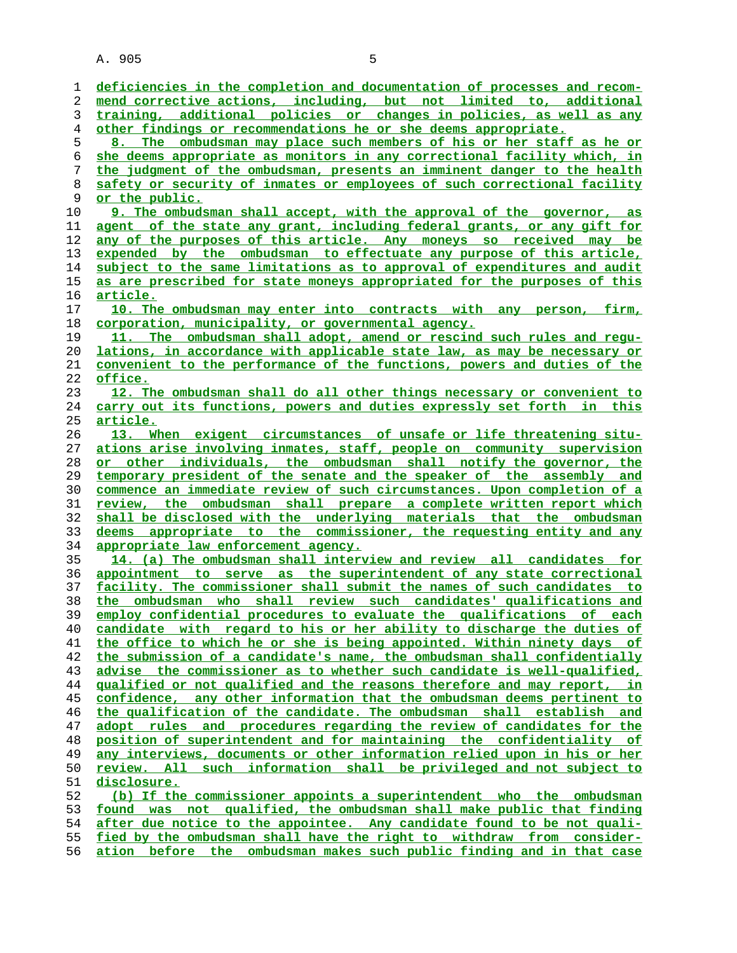**deficiencies in the completion and documentation of processes and recom- mend corrective actions, including, but not limited to, additional training, additional policies or changes in policies, as well as any other findings or recommendations he or she deems appropriate. 8. The ombudsman may place such members of his or her staff as he or she deems appropriate as monitors in any correctional facility which, in the judgment of the ombudsman, presents an imminent danger to the health safety or security of inmates or employees of such correctional facility or the public. 9. The ombudsman shall accept, with the approval of the governor, as agent of the state any grant, including federal grants, or any gift for any of the purposes of this article. Any moneys so received may be expended by the ombudsman to effectuate any purpose of this article, subject to the same limitations as to approval of expenditures and audit as are prescribed for state moneys appropriated for the purposes of this article. 10. The ombudsman may enter into contracts with any person, firm, corporation, municipality, or governmental agency. 11. The ombudsman shall adopt, amend or rescind such rules and regu- lations, in accordance with applicable state law, as may be necessary or convenient to the performance of the functions, powers and duties of the office. 12. The ombudsman shall do all other things necessary or convenient to carry out its functions, powers and duties expressly set forth in this article. 13. When exigent circumstances of unsafe or life threatening situ- ations arise involving inmates, staff, people on community supervision or other individuals, the ombudsman shall notify the governor, the temporary president of the senate and the speaker of the assembly and commence an immediate review of such circumstances. Upon completion of a review, the ombudsman shall prepare a complete written report which shall be disclosed with the underlying materials that the ombudsman deems appropriate to the commissioner, the requesting entity and any appropriate law enforcement agency. 14. (a) The ombudsman shall interview and review all candidates for appointment to serve as the superintendent of any state correctional facility. The commissioner shall submit the names of such candidates to the ombudsman who shall review such candidates' qualifications and employ confidential procedures to evaluate the qualifications of each candidate with regard to his or her ability to discharge the duties of the office to which he or she is being appointed. Within ninety days of the submission of a candidate's name, the ombudsman shall confidentially advise the commissioner as to whether such candidate is well-qualified, qualified or not qualified and the reasons therefore and may report, in confidence, any other information that the ombudsman deems pertinent to the qualification of the candidate. The ombudsman shall establish and adopt rules and procedures regarding the review of candidates for the position of superintendent and for maintaining the confidentiality of any interviews, documents or other information relied upon in his or her review. All such information shall be privileged and not subject to disclosure. (b) If the commissioner appoints a superintendent who the ombudsman found was not qualified, the ombudsman shall make public that finding after due notice to the appointee. Any candidate found to be not quali- fied by the ombudsman shall have the right to withdraw from consider- ation before the ombudsman makes such public finding and in that case**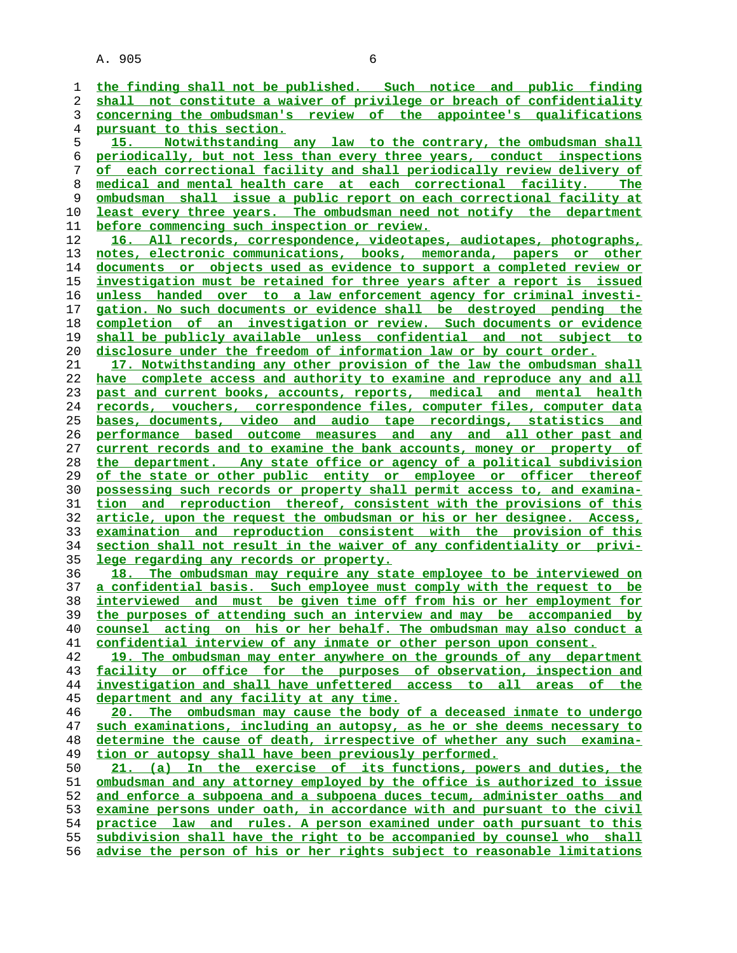**the finding shall not be published. Such notice and public finding shall not constitute a waiver of privilege or breach of confidentiality concerning the ombudsman's review of the appointee's qualifications pursuant to this section. 15. Notwithstanding any law to the contrary, the ombudsman shall periodically, but not less than every three years, conduct inspections of each correctional facility and shall periodically review delivery of medical and mental health care at each correctional facility. The ombudsman shall issue a public report on each correctional facility at least every three years. The ombudsman need not notify the department before commencing such inspection or review. 16. All records, correspondence, videotapes, audiotapes, photographs, notes, electronic communications, books, memoranda, papers or other documents or objects used as evidence to support a completed review or investigation must be retained for three years after a report is issued unless handed over to a law enforcement agency for criminal investi- gation. No such documents or evidence shall be destroyed pending the completion of an investigation or review. Such documents or evidence shall be publicly available unless confidential and not subject to disclosure under the freedom of information law or by court order. 17. Notwithstanding any other provision of the law the ombudsman shall have complete access and authority to examine and reproduce any and all past and current books, accounts, reports, medical and mental health records, vouchers, correspondence files, computer files, computer data bases, documents, video and audio tape recordings, statistics and performance based outcome measures and any and all other past and current records and to examine the bank accounts, money or property of the department. Any state office or agency of a political subdivision of the state or other public entity or employee or officer thereof possessing such records or property shall permit access to, and examina- tion and reproduction thereof, consistent with the provisions of this article, upon the request the ombudsman or his or her designee. Access, examination and reproduction consistent with the provision of this section shall not result in the waiver of any confidentiality or privi- lege regarding any records or property. 18. The ombudsman may require any state employee to be interviewed on a confidential basis. Such employee must comply with the request to be interviewed and must be given time off from his or her employment for the purposes of attending such an interview and may be accompanied by counsel acting on his or her behalf. The ombudsman may also conduct a confidential interview of any inmate or other person upon consent. 19. The ombudsman may enter anywhere on the grounds of any department facility or office for the purposes of observation, inspection and investigation and shall have unfettered access to all areas of the department and any facility at any time. 20. The ombudsman may cause the body of a deceased inmate to undergo such examinations, including an autopsy, as he or she deems necessary to determine the cause of death, irrespective of whether any such examina- tion or autopsy shall have been previously performed. 21. (a) In the exercise of its functions, powers and duties, the ombudsman and any attorney employed by the office is authorized to issue and enforce a subpoena and a subpoena duces tecum, administer oaths and examine persons under oath, in accordance with and pursuant to the civil practice law and rules. A person examined under oath pursuant to this subdivision shall have the right to be accompanied by counsel who shall advise the person of his or her rights subject to reasonable limitations**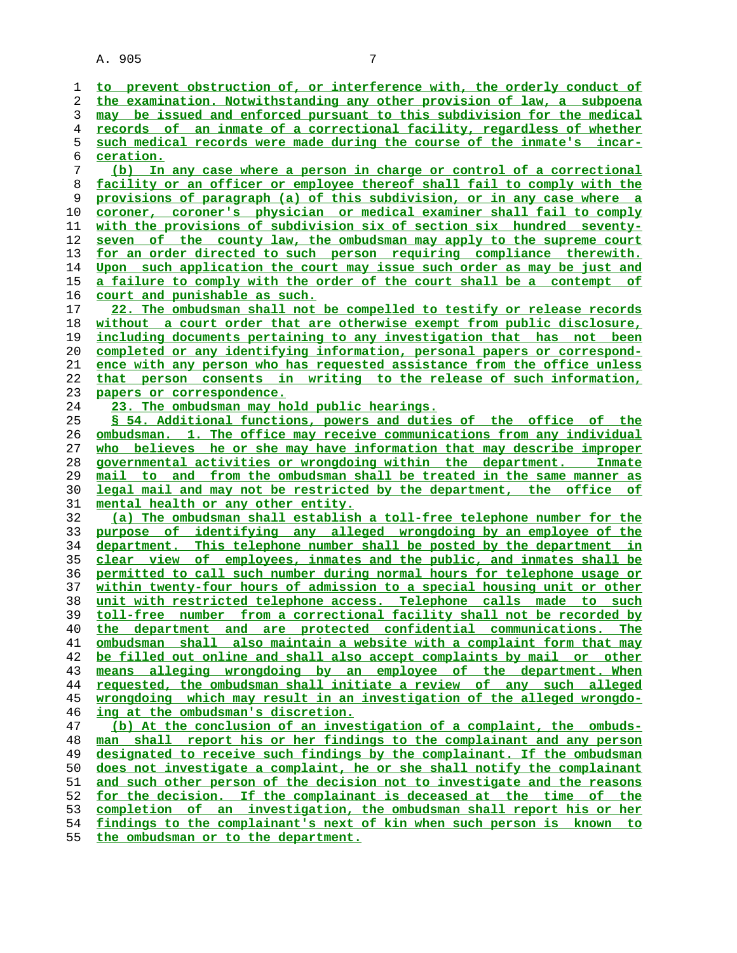**ceration.**

**to prevent obstruction of, or interference with, the orderly conduct of the examination. Notwithstanding any other provision of law, a subpoena may be issued and enforced pursuant to this subdivision for the medical records of an inmate of a correctional facility, regardless of whether such medical records were made during the course of the inmate's incar- (b) In any case where a person in charge or control of a correctional facility or an officer or employee thereof shall fail to comply with the provisions of paragraph (a) of this subdivision, or in any case where a coroner, coroner's physician or medical examiner shall fail to comply**

**with the provisions of subdivision six of section six hundred seventy- seven of the county law, the ombudsman may apply to the supreme court for an order directed to such person requiring compliance therewith. Upon such application the court may issue such order as may be just and a failure to comply with the order of the court shall be a contempt of court and punishable as such.**

**22. The ombudsman shall not be compelled to testify or release records without a court order that are otherwise exempt from public disclosure, including documents pertaining to any investigation that has not been completed or any identifying information, personal papers or correspond- ence with any person who has requested assistance from the office unless that person consents in writing to the release of such information, papers or correspondence.**

#### **23. The ombudsman may hold public hearings.**

**§ 54. Additional functions, powers and duties of the office of the ombudsman. 1. The office may receive communications from any individual who believes he or she may have information that may describe improper governmental activities or wrongdoing within the department. Inmate mail to and from the ombudsman shall be treated in the same manner as legal mail and may not be restricted by the department, the office of mental health or any other entity.**

**(a) The ombudsman shall establish a toll-free telephone number for the purpose of identifying any alleged wrongdoing by an employee of the department. This telephone number shall be posted by the department in clear view of employees, inmates and the public, and inmates shall be permitted to call such number during normal hours for telephone usage or within twenty-four hours of admission to a special housing unit or other unit with restricted telephone access. Telephone calls made to such toll-free number from a correctional facility shall not be recorded by the department and are protected confidential communications. The ombudsman shall also maintain a website with a complaint form that may be filled out online and shall also accept complaints by mail or other means alleging wrongdoing by an employee of the department. When requested, the ombudsman shall initiate a review of any such alleged wrongdoing which may result in an investigation of the alleged wrongdo- ing at the ombudsman's discretion. (b) At the conclusion of an investigation of a complaint, the ombuds-**

**man shall report his or her findings to the complainant and any person designated to receive such findings by the complainant. If the ombudsman does not investigate a complaint, he or she shall notify the complainant and such other person of the decision not to investigate and the reasons for the decision. If the complainant is deceased at the time of the completion of an investigation, the ombudsman shall report his or her findings to the complainant's next of kin when such person is known to**

**the ombudsman or to the department.**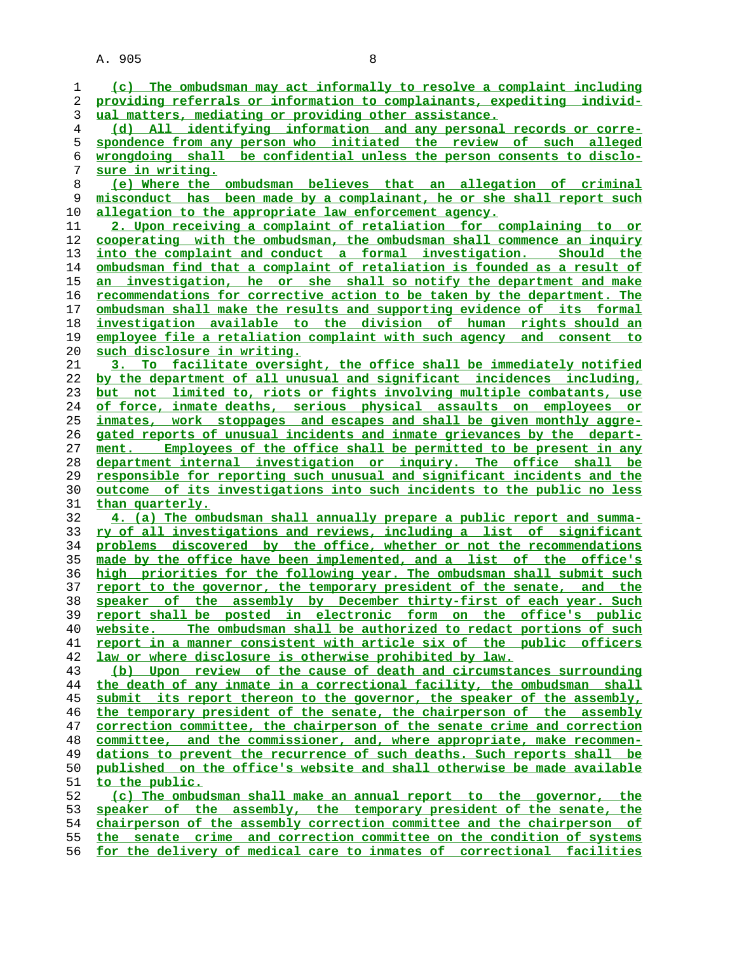| 1              | (c) The ombudsman may act informally to resolve a complaint including           |
|----------------|---------------------------------------------------------------------------------|
| 2              | providing referrals or information to complainants, expediting individ-         |
| 3              | ual matters, mediating or providing other assistance.                           |
| $\overline{4}$ | (d) All identifying information and any personal records or corre-              |
| 5              | spondence from any person who initiated the review of such alleged              |
| 6              | wrongdoing shall be confidential unless the person consents to disclo-          |
| 7              | sure in writing.                                                                |
| 8              | (e) Where the ombudsman believes that an allegation of criminal                 |
| 9              | misconduct has been made by a complainant, he or she shall report such          |
| 10             | allegation to the appropriate law enforcement agency.                           |
| 11             | 2. Upon receiving a complaint of retaliation for complaining to or              |
| 12             | cooperating with the ombudsman, the ombudsman shall commence an inquiry         |
| 13             | into the complaint and conduct a formal investigation. Should the               |
| 14             | <u>ombudsman find that a complaint of retaliation is founded as a result of</u> |
| 15             | an investigation, he or she shall so notify the department and make             |
| 16             | recommendations for corrective action to be taken by the department. The        |
| 17             | ombudsman shall make the results and supporting evidence of its formal          |
| 18             | investigation available to the division of human rights should an               |
| 19             | employee file a retaliation complaint with such agency and consent to           |
| 20             | such disclosure in writing.                                                     |
| 21             | 3. To facilitate oversight, the office shall be immediately notified            |
| 22             | by the department of all unusual and significant incidences including,          |
| 23             | but not limited to, riots or fights involving multiple combatants, use          |
| 24             | of force, inmate deaths, serious physical assaults on employees or              |
| 25             | inmates, work stoppages and escapes and shall be given monthly aggre-           |
| 26             | gated reports of unusual incidents and inmate grievances by the depart-         |
| 27             | Employees of the office shall be permitted to be present in any<br>ment.        |
| 28             | department internal investigation or inquiry. The office shall be               |
| 29             | responsible for reporting such unusual and significant incidents and the        |
| 30             | outcome of its investigations into such incidents to the public no less         |
| 31             | than quarterly.                                                                 |
| 32             | 4. (a) The ombudsman shall annually prepare a public report and summa-          |
| 33             | ry of all investigations and reviews, including a list of significant           |
| 34             | problems discovered by the office, whether or not the recommendations           |
| 35             | made by the office have been implemented, and a list of the office's            |
| 36             | high priorities for the following year. The ombudsman shall submit such         |
| 37             | report to the governor, the temporary president of the senate, and the          |
| 38             | speaker of the assembly by December thirty-first of each year. Such             |
| 39             | report shall be posted in electronic form on the office's public                |
| 40             | The ombudsman shall be authorized to redact portions of such<br>website.        |
| 41             | report in a manner consistent with article six of the public officers           |
| 42             | law or where disclosure is otherwise prohibited by law.                         |
| 43             | (b) Upon review of the cause of death and circumstances surrounding             |
| 44             | the death of any inmate in a correctional facility, the ombudsman shall         |
| 45             | submit its report thereon to the governor, the speaker of the assembly,         |
| 46             | the temporary president of the senate, the chairperson of the assembly          |
| 47             | correction committee, the chairperson of the senate crime and correction        |
| 48             | committee, and the commissioner, and, where appropriate, make recommen-         |
| 49             | dations to prevent the recurrence of such deaths. Such reports shall be         |
| 50             | published on the office's website and shall otherwise be made available         |
| 51             | to the public.                                                                  |
| 52             | (c) The ombudsman shall make an annual report to the governor, the              |
| 53             | speaker of the assembly, the temporary president of the senate, the             |
| 54             | chairperson of the assembly correction committee and the chairperson of         |
| 55             | the senate crime and correction committee on the condition of systems           |
| 56             | for the delivery of medical care to inmates of correctional facilities          |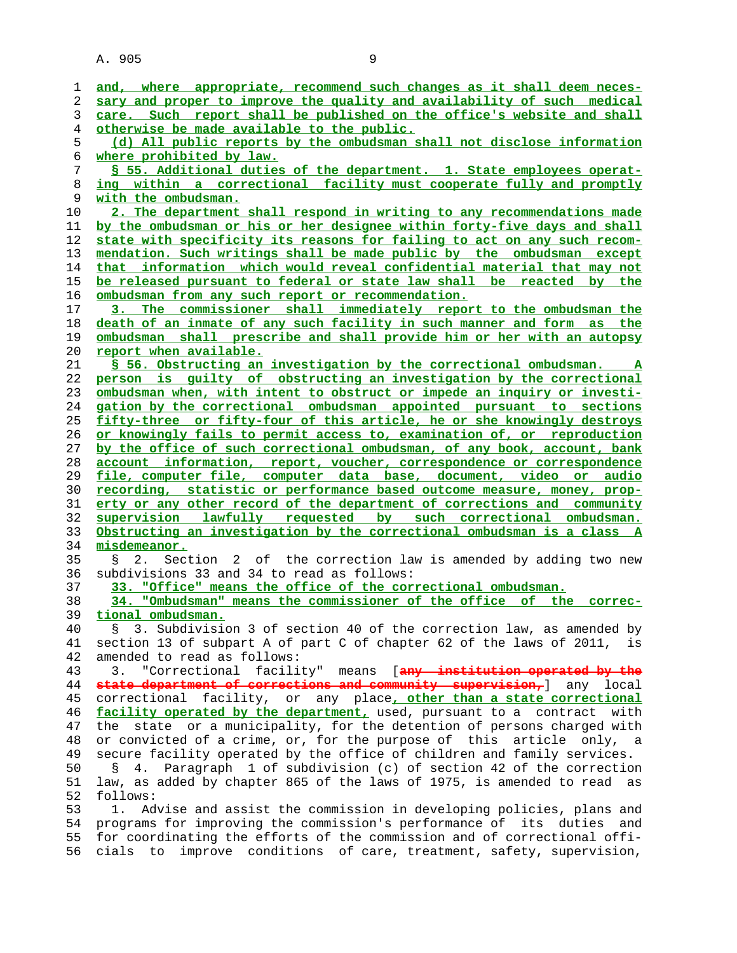| 1  | and, where appropriate, recommend such changes as it shall deem neces-        |
|----|-------------------------------------------------------------------------------|
| 2  | sary and proper to improve the quality and availability of such medical       |
| 3  | care. Such report shall be published on the office's website and shall        |
| 4  | otherwise be made available to the public.                                    |
| 5  | (d) All public reports by the ombudsman shall not disclose information        |
| 6  | where prohibited by law.                                                      |
|    | \$ 55. Additional duties of the department. 1. State employees operat-        |
| 7  |                                                                               |
| 8  | ing within a correctional facility must cooperate fully and promptly          |
| 9  | with the ombudsman.                                                           |
| 10 | 2. The department shall respond in writing to any recommendations made        |
| 11 | by the ombudsman or his or her designee within forty-five days and shall      |
| 12 | state with specificity its reasons for failing to act on any such recom-      |
| 13 | mendation. Such writings shall be made public by the ombudsman except         |
| 14 | that information which would reveal confidential material that may not        |
| 15 | be released pursuant to federal or state law shall be reacted by the          |
| 16 | ombudsman from any such report or recommendation.                             |
| 17 | The commissioner shall immediately report to the ombudsman the<br><u>3. _</u> |
| 18 | death of an inmate of any such facility in such manner and form as the        |
|    |                                                                               |
| 19 | <u>ombudsman shall prescribe and shall provide him or her with an autopsy</u> |
| 20 | report when available.                                                        |
| 21 | S 56. Obstructing an investigation by the correctional ombudsman. A           |
| 22 | person is quilty of obstructing an investigation by the correctional          |
| 23 | ombudsman when, with intent to obstruct or impede an inquiry or investi-      |
| 24 | gation by the correctional ombudsman appointed pursuant to sections           |
| 25 | fifty-three or fifty-four of this article, he or she knowingly destroys       |
| 26 | or knowingly fails to permit access to, examination of, or reproduction       |
| 27 | by the office of such correctional ombudsman, of any book, account, bank      |
| 28 | account information, report, voucher, correspondence or correspondence        |
|    |                                                                               |
|    |                                                                               |
| 29 | file, computer file, computer data base, document, video or audio             |
| 30 | recording, statistic or performance based outcome measure, money, prop-       |
| 31 | erty or any other record of the department of corrections and community       |
| 32 | supervision lawfully requested by such correctional ombudsman.                |
| 33 | Obstructing an investigation by the correctional ombudsman is a class A       |
| 34 | misdemeanor.                                                                  |
| 35 | Section 2 of the correction law is amended by adding two new<br>2.<br>S       |
| 36 | subdivisions 33 and 34 to read as follows:                                    |
| 37 | 33. "Office" means the office of the correctional ombudsman.                  |
| 38 | 34. "Ombudsman" means the commissioner of the office of the<br>correc-        |
| 39 | tional ombudsman.                                                             |
| 40 | 3. Subdivision 3 of section 40 of the correction law, as amended by<br>S.     |
| 41 | section 13 of subpart A of part C of chapter 62 of the laws of 2011, is       |
|    |                                                                               |
| 42 | amended to read as follows:<br>3.                                             |
| 43 | "Correctional facility" means [any institution operated by the                |
| 44 | state department of corrections and community supervision, any local          |
| 45 | correctional facility, or any place, other than a state correctional          |
| 46 | facility operated by the department, used, pursuant to a contract with        |
| 47 | the state or a municipality, for the detention of persons charged with        |
| 48 | or convicted of a crime, or, for the purpose of this article only, a          |
| 49 | secure facility operated by the office of children and family services.       |
| 50 | 4. Paragraph 1 of subdivision (c) of section 42 of the correction<br>S.       |
| 51 | law, as added by chapter 865 of the laws of 1975, is amended to read as       |
| 52 | follows:                                                                      |
| 53 | Advise and assist the commission in developing policies, plans and<br>1.      |
| 54 | programs for improving the commission's performance of its duties<br>and      |
| 55 | for coordinating the efforts of the commission and of correctional offi-      |
| 56 | improve<br>conditions of care, treatment, safety, supervision,<br>cials<br>to |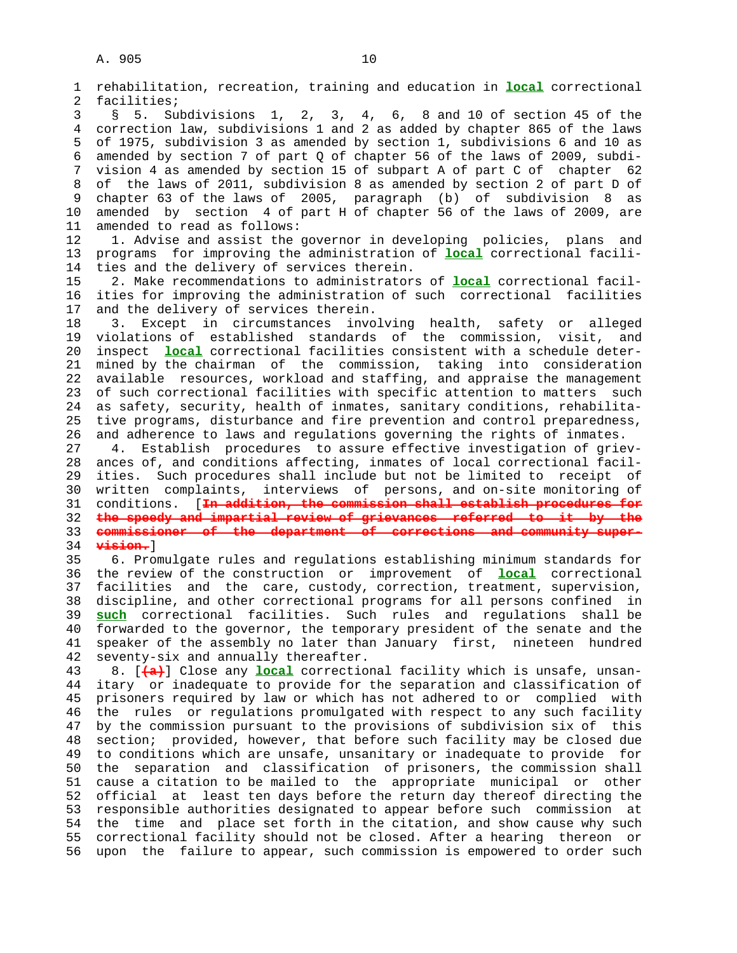1 rehabilitation, recreation, training and education in **local** correctional

 2 facilities; 3 § 5. Subdivisions 1, 2, 3, 4, 6, 8 and 10 of section 45 of the 4 correction law, subdivisions 1 and 2 as added by chapter 865 of the laws 5 of 1975, subdivision 3 as amended by section 1, subdivisions 6 and 10 as 6 amended by section 7 of part Q of chapter 56 of the laws of 2009, subdi- 7 vision 4 as amended by section 15 of subpart A of part C of chapter 62 8 of the laws of 2011, subdivision 8 as amended by section 2 of part D of 9 chapter 63 of the laws of 2005, paragraph (b) of subdivision 8 as 10 amended by section 4 of part H of chapter 56 of the laws of 2009, are 11 amended to read as follows: 12 1. Advise and assist the governor in developing policies, plans and 13 programs for improving the administration of **local** correctional facili- 14 ties and the delivery of services therein. 15 2. Make recommendations to administrators of **local** correctional facil- 16 ities for improving the administration of such correctional facilities 17 and the delivery of services therein. 18 3. Except in circumstances involving health, safety or alleged 19 violations of established standards of the commission, visit, and 20 inspect **local** correctional facilities consistent with a schedule deter- 21 mined by the chairman of the commission, taking into consideration 22 available resources, workload and staffing, and appraise the management 23 of such correctional facilities with specific attention to matters such 24 as safety, security, health of inmates, sanitary conditions, rehabilita- 25 tive programs, disturbance and fire prevention and control preparedness, 26 and adherence to laws and regulations governing the rights of inmates. 27 4. Establish procedures to assure effective investigation of griev- 28 ances of, and conditions affecting, inmates of local correctional facil- 29 ities. Such procedures shall include but not be limited to receipt of 30 written complaints, interviews of persons, and on-site monitoring of 31 conditions. [**In addition, the commission shall establish procedures for** 32 **the speedy and impartial review of grievances referred to it by the** 33 **commissioner of the department of corrections and community super-** 34 **vision.**] 35 6. Promulgate rules and regulations establishing minimum standards for 36 the review of the construction or improvement of **local** correctional 37 facilities and the care, custody, correction, treatment, supervision, 38 discipline, and other correctional programs for all persons confined in 39 **such** correctional facilities. Such rules and regulations shall be 40 forwarded to the governor, the temporary president of the senate and the 41 speaker of the assembly no later than January first, nineteen hundred 42 seventy-six and annually thereafter. 43 8. [**(a)**] Close any **local** correctional facility which is unsafe, unsan- 44 itary or inadequate to provide for the separation and classification of 45 prisoners required by law or which has not adhered to or complied with 46 the rules or regulations promulgated with respect to any such facility 47 by the commission pursuant to the provisions of subdivision six of this 48 section; provided, however, that before such facility may be closed due 49 to conditions which are unsafe, unsanitary or inadequate to provide for 50 the separation and classification of prisoners, the commission shall 51 cause a citation to be mailed to the appropriate municipal or other 52 official at least ten days before the return day thereof directing the 53 responsible authorities designated to appear before such commission at 54 the time and place set forth in the citation, and show cause why such 55 correctional facility should not be closed. After a hearing thereon or 56 upon the failure to appear, such commission is empowered to order such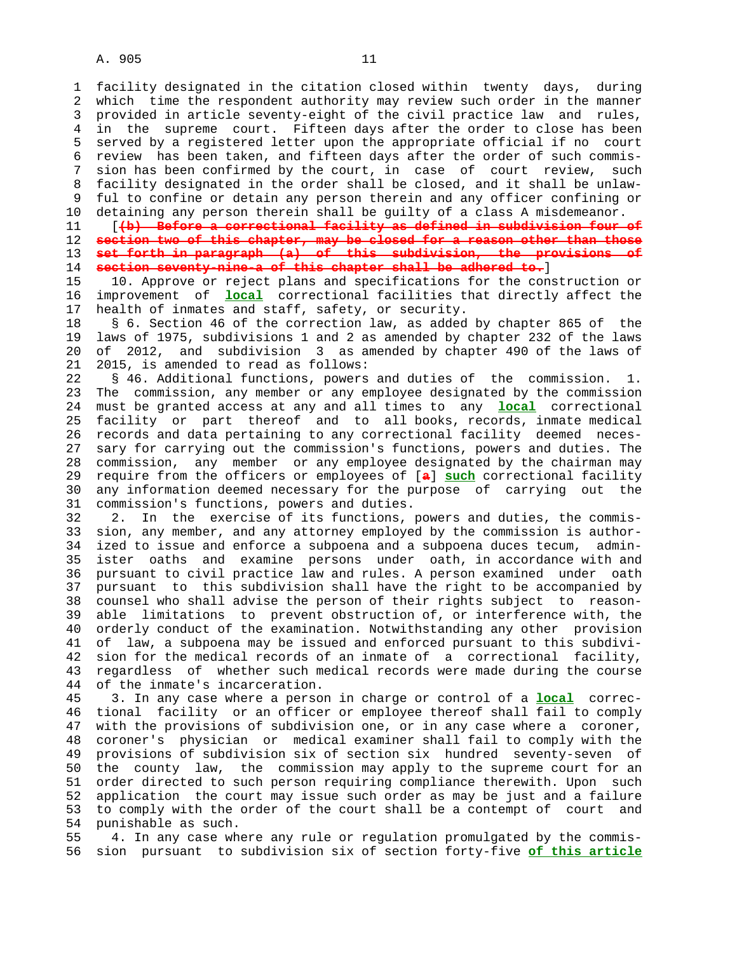1 facility designated in the citation closed within twenty days, during 2 which time the respondent authority may review such order in the manner 3 provided in article seventy-eight of the civil practice law and rules, 4 in the supreme court. Fifteen days after the order to close has been 5 served by a registered letter upon the appropriate official if no court 6 review has been taken, and fifteen days after the order of such commis- 7 sion has been confirmed by the court, in case of court review, such 8 facility designated in the order shall be closed, and it shall be unlaw- 9 ful to confine or detain any person therein and any officer confining or 10 detaining any person therein shall be guilty of a class A misdemeanor.

 11 [**(b) Before a correctional facility as defined in subdivision four of section two of this chapter, may be closed for a reason other than those set forth in paragraph (a) of this subdivision, the provisions of section seventy-nine-a of this chapter shall be adhered to.**]

 15 10. Approve or reject plans and specifications for the construction or 16 improvement of **local** correctional facilities that directly affect the 17 health of inmates and staff, safety, or security.

 18 § 6. Section 46 of the correction law, as added by chapter 865 of the 19 laws of 1975, subdivisions 1 and 2 as amended by chapter 232 of the laws 20 of 2012, and subdivision 3 as amended by chapter 490 of the laws of 21 2015, is amended to read as follows:

 22 § 46. Additional functions, powers and duties of the commission. 1. 23 The commission, any member or any employee designated by the commission 24 must be granted access at any and all times to any **local** correctional 25 facility or part thereof and to all books, records, inmate medical 26 records and data pertaining to any correctional facility deemed neces- 27 sary for carrying out the commission's functions, powers and duties. The 28 commission, any member or any employee designated by the chairman may 29 require from the officers or employees of [**a**] **such** correctional facility 30 any information deemed necessary for the purpose of carrying out the 31 commission's functions, powers and duties.

 32 2. In the exercise of its functions, powers and duties, the commis- 33 sion, any member, and any attorney employed by the commission is author- 34 ized to issue and enforce a subpoena and a subpoena duces tecum, admin- 35 ister oaths and examine persons under oath, in accordance with and 36 pursuant to civil practice law and rules. A person examined under oath 37 pursuant to this subdivision shall have the right to be accompanied by 38 counsel who shall advise the person of their rights subject to reason- 39 able limitations to prevent obstruction of, or interference with, the 40 orderly conduct of the examination. Notwithstanding any other provision 41 of law, a subpoena may be issued and enforced pursuant to this subdivi- 42 sion for the medical records of an inmate of a correctional facility, 43 regardless of whether such medical records were made during the course 44 of the inmate's incarceration.

 45 3. In any case where a person in charge or control of a **local** correc- 46 tional facility or an officer or employee thereof shall fail to comply 47 with the provisions of subdivision one, or in any case where a coroner, 48 coroner's physician or medical examiner shall fail to comply with the 49 provisions of subdivision six of section six hundred seventy-seven of 50 the county law, the commission may apply to the supreme court for an 51 order directed to such person requiring compliance therewith. Upon such 52 application the court may issue such order as may be just and a failure 53 to comply with the order of the court shall be a contempt of court and 54 punishable as such.

 55 4. In any case where any rule or regulation promulgated by the commis- 56 sion pursuant to subdivision six of section forty-five **of this article**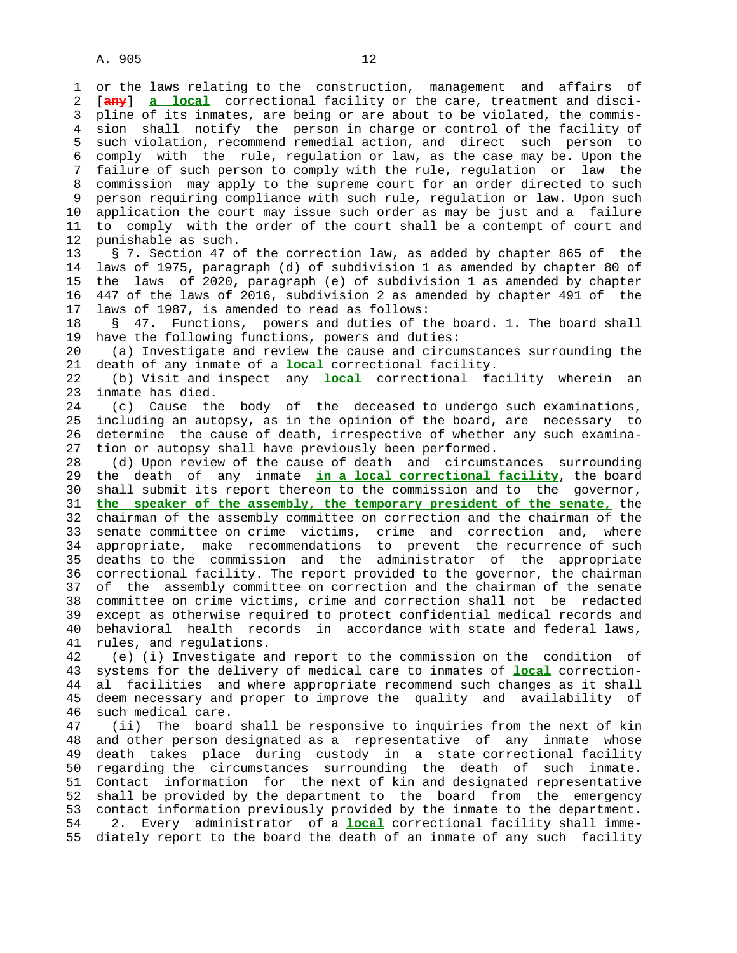1 or the laws relating to the construction, management and affairs of 2 [**any**] **a local** correctional facility or the care, treatment and disci- 3 pline of its inmates, are being or are about to be violated, the commis- 4 sion shall notify the person in charge or control of the facility of 5 such violation, recommend remedial action, and direct such person to 6 comply with the rule, regulation or law, as the case may be. Upon the 7 failure of such person to comply with the rule, regulation or law the 8 commission may apply to the supreme court for an order directed to such 9 person requiring compliance with such rule, regulation or law. Upon such 10 application the court may issue such order as may be just and a failure 11 to comply with the order of the court shall be a contempt of court and 12 punishable as such. punishable as such.

 13 § 7. Section 47 of the correction law, as added by chapter 865 of the 14 laws of 1975, paragraph (d) of subdivision 1 as amended by chapter 80 of 15 the laws of 2020, paragraph (e) of subdivision 1 as amended by chapter 16 447 of the laws of 2016, subdivision 2 as amended by chapter 491 of the 17 laws of 1987, is amended to read as follows:

 18 § 47. Functions, powers and duties of the board. 1. The board shall 19 have the following functions, powers and duties:

 20 (a) Investigate and review the cause and circumstances surrounding the 21 death of any inmate of a **local** correctional facility.

 22 (b) Visit and inspect any **local** correctional facility wherein an 23 inmate has died.

 24 (c) Cause the body of the deceased to undergo such examinations, 25 including an autopsy, as in the opinion of the board, are necessary to 26 determine the cause of death, irrespective of whether any such examina- 27 tion or autopsy shall have previously been performed.

 28 (d) Upon review of the cause of death and circumstances surrounding 29 the death of any inmate **in a local correctional facility**, the board 30 shall submit its report thereon to the commission and to the governor, 31 **the speaker of the assembly, the temporary president of the senate,** the 32 chairman of the assembly committee on correction and the chairman of the 33 senate committee on crime victims, crime and correction and, where 34 appropriate, make recommendations to prevent the recurrence of such<br>35 deaths to the commission and the administrator of the appropriate deaths to the commission and the administrator of the appropriate 36 correctional facility. The report provided to the governor, the chairman 37 of the assembly committee on correction and the chairman of the senate 38 committee on crime victims, crime and correction shall not be redacted 39 except as otherwise required to protect confidential medical records and 40 behavioral health records in accordance with state and federal laws, 41 rules, and regulations.

 42 (e) (i) Investigate and report to the commission on the condition of 43 systems for the delivery of medical care to inmates of **local** correction- 44 al facilities and where appropriate recommend such changes as it shall 45 deem necessary and proper to improve the quality and availability of 46 such medical care.

 47 (ii) The board shall be responsive to inquiries from the next of kin 48 and other person designated as a representative of any inmate whose 49 death takes place during custody in a state correctional facility 50 regarding the circumstances surrounding the death of such inmate. 51 Contact information for the next of kin and designated representative 52 shall be provided by the department to the board from the emergency 53 contact information previously provided by the inmate to the department. 54 2. Every administrator of a **local** correctional facility shall imme- 55 diately report to the board the death of an inmate of any such facility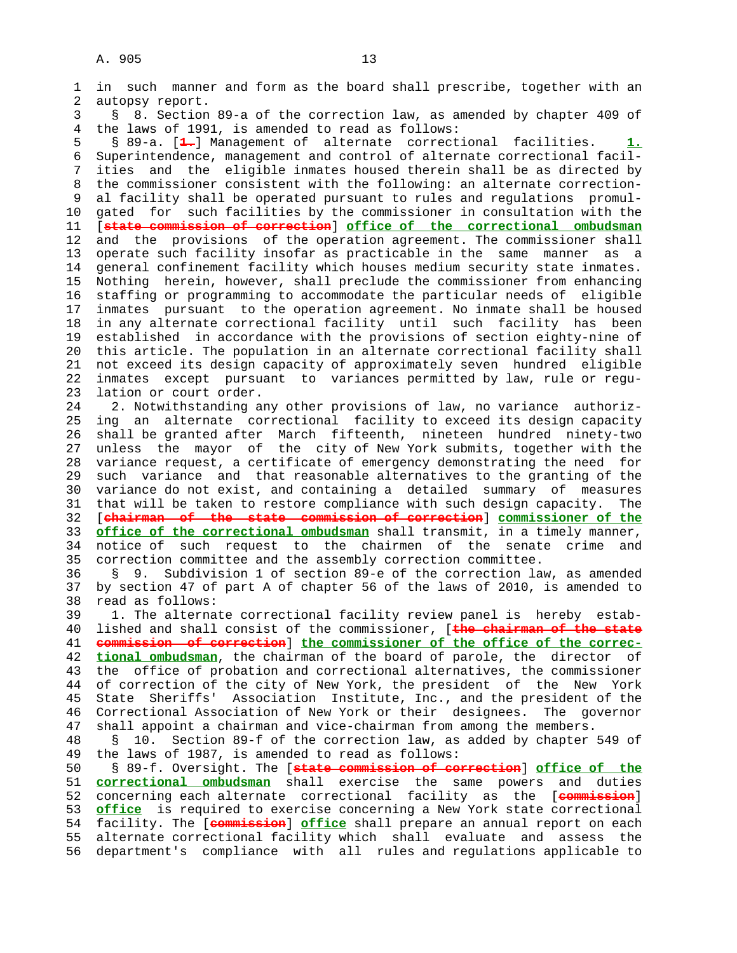1 in such manner and form as the board shall prescribe, together with an 2 autopsy report. 3 § 8. Section 89-a of the correction law, as amended by chapter 409 of 4 the laws of 1991, is amended to read as follows: 5 § 89-a. [**1.**] Management of alternate correctional facilities. **1.** 6 Superintendence, management and control of alternate correctional facil- 7 ities and the eligible inmates housed therein shall be as directed by 8 the commissioner consistent with the following: an alternate correction- 9 al facility shall be operated pursuant to rules and regulations promul- 10 gated for such facilities by the commissioner in consultation with the 11 [**state commission of correction**] **office of the correctional ombudsman** 12 and the provisions of the operation agreement. The commissioner shall 13 operate such facility insofar as practicable in the same manner as a 14 general confinement facility which houses medium security state inmates. 15 Nothing herein, however, shall preclude the commissioner from enhancing 16 staffing or programming to accommodate the particular needs of eligible 17 inmates pursuant to the operation agreement. No inmate shall be housed 18 in any alternate correctional facility until such facility has been 19 established in accordance with the provisions of section eighty-nine of 20 this article. The population in an alternate correctional facility shall 21 not exceed its design capacity of approximately seven hundred eligible 22 inmates except pursuant to variances permitted by law, rule or regu- 23 lation or court order. 24 2. Notwithstanding any other provisions of law, no variance authoriz- 25 ing an alternate correctional facility to exceed its design capacity 26 shall be granted after March fifteenth, nineteen hundred ninety-two 27 unless the mayor of the city of New York submits, together with the 28 variance request, a certificate of emergency demonstrating the need for 29 such variance and that reasonable alternatives to the granting of the 30 variance do not exist, and containing a detailed summary of measures 31 that will be taken to restore compliance with such design capacity. The 32 [**chairman of the state commission of correction**] **commissioner of the** 33 **office of the correctional ombudsman** shall transmit, in a timely manner, 34 notice of such request to the chairmen of the senate crime and 35 correction committee and the assembly correction committee. 36 § 9. Subdivision 1 of section 89-e of the correction law, as amended 37 by section 47 of part A of chapter 56 of the laws of 2010, is amended to 38 read as follows: 39 1. The alternate correctional facility review panel is hereby estab- 40 lished and shall consist of the commissioner, [**the chairman of the state** 41 **commission of correction**] **the commissioner of the office of the correc-** 42 **tional ombudsman**, the chairman of the board of parole, the director of 43 the office of probation and correctional alternatives, the commissioner 44 of correction of the city of New York, the president of the New York 45 State Sheriffs' Association Institute, Inc., and the president of the 46 Correctional Association of New York or their designees. The governor 47 shall appoint a chairman and vice-chairman from among the members. 48 § 10. Section 89-f of the correction law, as added by chapter 549 of 49 the laws of 1987, is amended to read as follows: 50 § 89-f. Oversight. The [**state commission of correction**] **office of the** 51 **correctional ombudsman** shall exercise the same powers and duties

 52 concerning each alternate correctional facility as the [**commission**] 53 **office** is required to exercise concerning a New York state correctional 54 facility. The [**commission**] **office** shall prepare an annual report on each 55 alternate correctional facility which shall evaluate and assess the 56 department's compliance with all rules and regulations applicable to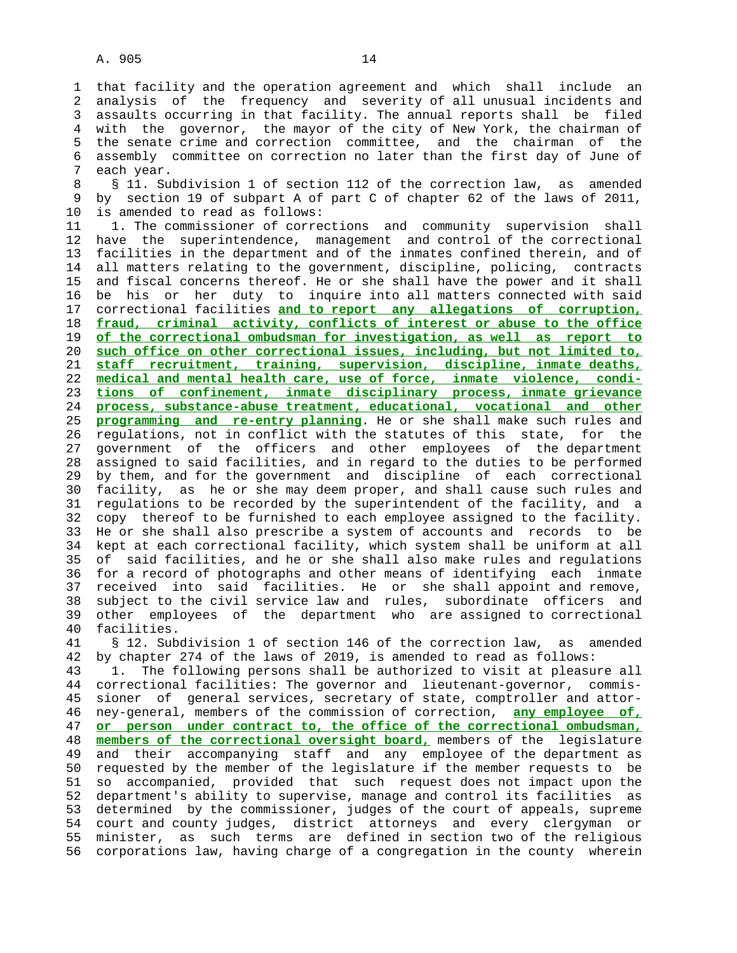1 that facility and the operation agreement and which shall include an 2 analysis of the frequency and severity of all unusual incidents and 3 assaults occurring in that facility. The annual reports shall be filed 4 with the governor, the mayor of the city of New York, the chairman of 5 the senate crime and correction committee, and the chairman of the 6 assembly committee on correction no later than the first day of June of 7 each year.

8 § 11. Subdivision 1 of section 112 of the correction law, as amended<br>9 by section 19 of subpart A of part C of chapter 62 of the laws of 2011, 9 by section 19 of subpart A of part C of chapter 62 of the laws of 2011, 10 is amended to read as follows:

 11 1. The commissioner of corrections and community supervision shall 12 have the superintendence, management and control of the correctional 13 facilities in the department and of the inmates confined therein, and of 14 all matters relating to the government, discipline, policing, contracts 15 and fiscal concerns thereof. He or she shall have the power and it shall 16 be his or her duty to inquire into all matters connected with said 17 correctional facilities **and to report any allegations of corruption,** 18 **fraud, criminal activity, conflicts of interest or abuse to the office** 19 **of the correctional ombudsman for investigation, as well as report to** 20 **such office on other correctional issues, including, but not limited to,** 21 **staff recruitment, training, supervision, discipline, inmate deaths,** 22 **medical and mental health care, use of force, inmate violence, condi-** 23 **tions of confinement, inmate disciplinary process, inmate grievance** 24 **process, substance-abuse treatment, educational, vocational and other** 25 **programming and re-entry planning**. He or she shall make such rules and 26 regulations, not in conflict with the statutes of this state, for the 27 government of the officers and other employees of the department 28 assigned to said facilities, and in regard to the duties to be performed 29 by them, and for the government and discipline of each correctional 30 facility, as he or she may deem proper, and shall cause such rules and 31 regulations to be recorded by the superintendent of the facility, and a 32 copy thereof to be furnished to each employee assigned to the facility. 33 He or she shall also prescribe a system of accounts and records to be 34 kept at each correctional facility, which system shall be uniform at all 35 of said facilities, and he or she shall also make rules and regulations 36 for a record of photographs and other means of identifying each inmate 37 received into said facilities. He or she shall appoint and remove, 38 subject to the civil service law and rules, subordinate officers and 39 other employees of the department who are assigned to correctional 40 facilities.

 41 § 12. Subdivision 1 of section 146 of the correction law, as amended 42 by chapter 274 of the laws of 2019, is amended to read as follows:

 43 1. The following persons shall be authorized to visit at pleasure all 44 correctional facilities: The governor and lieutenant-governor, commis- 45 sioner of general services, secretary of state, comptroller and attor- 46 ney-general, members of the commission of correction, **any employee of,** 47 **or person under contract to, the office of the correctional ombudsman,** 48 **members of the correctional oversight board,** members of the legislature 49 and their accompanying staff and any employee of the department as 50 requested by the member of the legislature if the member requests to be 51 so accompanied, provided that such request does not impact upon the 52 department's ability to supervise, manage and control its facilities as 53 determined by the commissioner, judges of the court of appeals, supreme 54 court and county judges, district attorneys and every clergyman or 55 minister, as such terms are defined in section two of the religious 56 corporations law, having charge of a congregation in the county wherein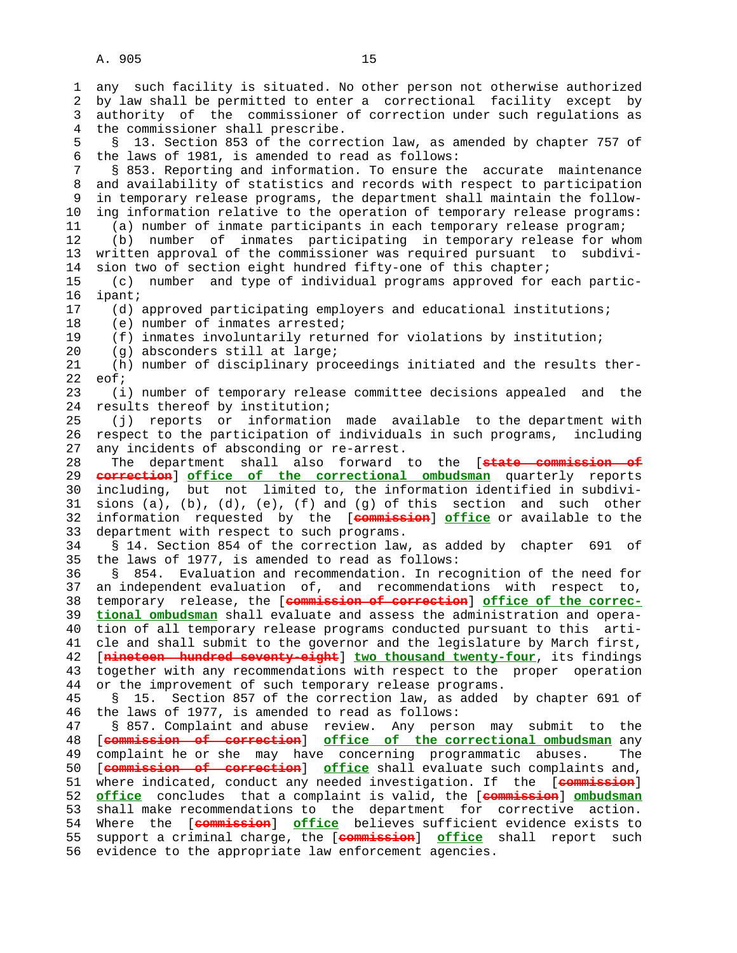1 any such facility is situated. No other person not otherwise authorized 2 by law shall be permitted to enter a correctional facility except by 3 authority of the commissioner of correction under such regulations as 4 the commissioner shall prescribe. 5 § 13. Section 853 of the correction law, as amended by chapter 757 of 6 the laws of 1981, is amended to read as follows: 7 § 853. Reporting and information. To ensure the accurate maintenance 8 and availability of statistics and records with respect to participation<br>9 in temporary release programs, the department shall maintain the followin temporary release programs, the department shall maintain the follow- 10 ing information relative to the operation of temporary release programs: 11 (a) number of inmate participants in each temporary release program; 12 (b) number of inmates participating in temporary release for whom 13 written approval of the commissioner was required pursuant to subdivi- 14 sion two of section eight hundred fifty-one of this chapter; 15 (c) number and type of individual programs approved for each partic- 16 ipant; 17 (d) approved participating employers and educational institutions; 18 (e) number of inmates arrested; 19 (f) inmates involuntarily returned for violations by institution; 20 (g) absconders still at large; 21 (h) number of disciplinary proceedings initiated and the results ther- 22 eof; 23 (i) number of temporary release committee decisions appealed and the 24 results thereof by institution; 25 (j) reports or information made available to the department with 26 respect to the participation of individuals in such programs, including 27 any incidents of absconding or re-arrest. 28 The department shall also forward to the [**state commission of** 29 **correction**] **office of the correctional ombudsman** quarterly reports 30 including, but not limited to, the information identified in subdivi- 31 sions (a), (b), (d), (e), (f) and (q) of this section and such other 32 information requested by the [**commission**] **office** or available to the 33 department with respect to such programs. 34 § 14. Section 854 of the correction law, as added by chapter 691 of 35 the laws of 1977, is amended to read as follows: 36 § 854. Evaluation and recommendation. In recognition of the need for 37 an independent evaluation of, and recommendations with respect to, 38 temporary release, the [**commission of correction**] **office of the correc-** 39 **tional ombudsman** shall evaluate and assess the administration and opera- 40 tion of all temporary release programs conducted pursuant to this arti- 41 cle and shall submit to the governor and the legislature by March first, 42 [**nineteen hundred seventy-eight**] **two thousand twenty-four**, its findings 43 together with any recommendations with respect to the proper operation 44 or the improvement of such temporary release programs. 45 § 15. Section 857 of the correction law, as added by chapter 691 of 46 the laws of 1977, is amended to read as follows: 47 § 857. Complaint and abuse review. Any person may submit to the 48 [**commission of correction**] **office of the correctional ombudsman** any 49 complaint he or she may have concerning programmatic abuses. The 50 [**commission of correction**] **office** shall evaluate such complaints and, 51 where indicated, conduct any needed investigation. If the [**commission**] 52 **office** concludes that a complaint is valid, the [**commission**] **ombudsman** 53 shall make recommendations to the department for corrective action. 54 Where the [**commission**] **office** believes sufficient evidence exists to 55 support a criminal charge, the [**commission**] **office** shall report such 56 evidence to the appropriate law enforcement agencies.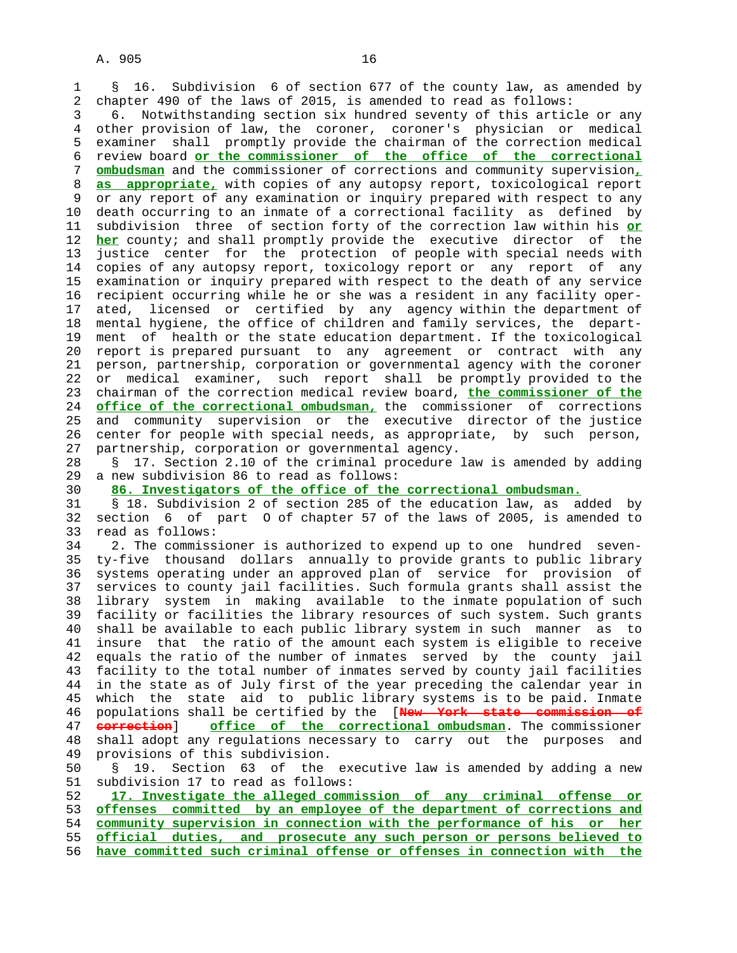1 § 16. Subdivision 6 of section 677 of the county law, as amended by 2 chapter 490 of the laws of 2015, is amended to read as follows:

 3 6. Notwithstanding section six hundred seventy of this article or any 4 other provision of law, the coroner, coroner's physician or medical 5 examiner shall promptly provide the chairman of the correction medical 6 review board **or the commissioner of the office of the correctional** 7 **ombudsman** and the commissioner of corrections and community supervision**,** 8 **as appropriate,** with copies of any autopsy report, toxicological report or any report of any examination or inquiry prepared with respect to any 10 death occurring to an inmate of a correctional facility as defined by 11 subdivision three of section forty of the correction law within his **or** 12 **her** county; and shall promptly provide the executive director of the 13 justice center for the protection of people with special needs with 14 copies of any autopsy report, toxicology report or any report of any 15 examination or inquiry prepared with respect to the death of any service 16 recipient occurring while he or she was a resident in any facility oper- 17 ated, licensed or certified by any agency within the department of 18 mental hygiene, the office of children and family services, the depart- 19 ment of health or the state education department. If the toxicological 20 report is prepared pursuant to any agreement or contract with any 21 person, partnership, corporation or governmental agency with the coroner 22 or medical examiner, such report shall be promptly provided to the 23 chairman of the correction medical review board, **the commissioner of the** 24 **office of the correctional ombudsman,** the commissioner of corrections 25 and community supervision or the executive director of the justice 26 center for people with special needs, as appropriate, by such person, 27 partnership, corporation or governmental agency. 28 § 17. Section 2.10 of the criminal procedure law is amended by adding 29 a new subdivision 86 to read as follows: 30 **86. Investigators of the office of the correctional ombudsman.**

 31 § 18. Subdivision 2 of section 285 of the education law, as added by 32 section 6 of part O of chapter 57 of the laws of 2005, is amended to 33 read as follows:

 34 2. The commissioner is authorized to expend up to one hundred seven- 35 ty-five thousand dollars annually to provide grants to public library 36 systems operating under an approved plan of service for provision of 37 services to county jail facilities. Such formula grants shall assist the 38 library system in making available to the inmate population of such 39 facility or facilities the library resources of such system. Such grants 40 shall be available to each public library system in such manner as to 41 insure that the ratio of the amount each system is eligible to receive 42 equals the ratio of the number of inmates served by the county jail 43 facility to the total number of inmates served by county jail facilities 44 in the state as of July first of the year preceding the calendar year in 45 which the state aid to public library systems is to be paid. Inmate 46 populations shall be certified by the [**New York state commission of** 47 **correction**] **office of the correctional ombudsman**. The commissioner 48 shall adopt any regulations necessary to carry out the purposes and 49 provisions of this subdivision.

 50 § 19. Section 63 of the executive law is amended by adding a new 51 subdivision 17 to read as follows:

**17. Investigate the alleged commission of any criminal offense or offenses committed by an employee of the department of corrections and community supervision in connection with the performance of his or her official duties, and prosecute any such person or persons believed to have committed such criminal offense or offenses in connection with the**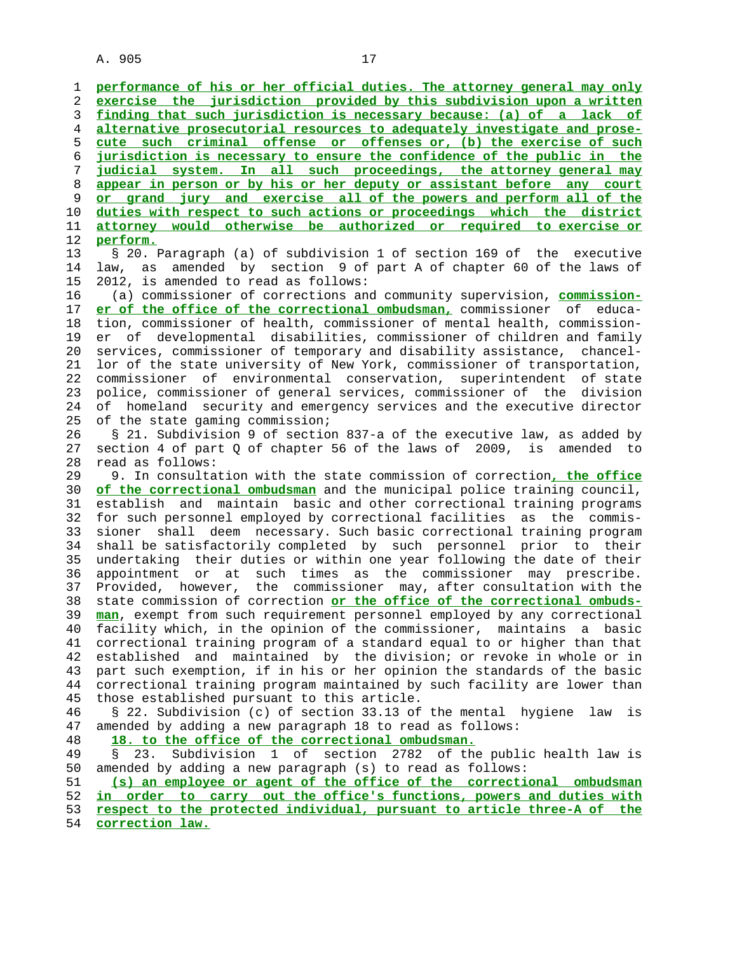1 **performance of his or her official duties. The attorney general may only** 2 **exercise the jurisdiction provided by this subdivision upon a written** 3 **finding that such jurisdiction is necessary because: (a) of a lack of** 4 **alternative prosecutorial resources to adequately investigate and prose-** 5 **cute such criminal offense or offenses or, (b) the exercise of such** 6 **jurisdiction is necessary to ensure the confidence of the public in the** 7 **judicial system. In all such proceedings, the attorney general may** 8 **appear in person or by his or her deputy or assistant before any court** 9 **or grand jury and exercise all of the powers and perform all of the** 10 **duties with respect to such actions or proceedings which the district** 11 **attorney would otherwise be authorized or required to exercise or** 12 **perform.** 13 § 20. Paragraph (a) of subdivision 1 of section 169 of the executive 14 law, as amended by section 9 of part A of chapter 60 of the laws of 15 2012, is amended to read as follows: 16 (a) commissioner of corrections and community supervision, **commission-** 17 **er of the office of the correctional ombudsman,** commissioner of educa- 18 tion, commissioner of health, commissioner of mental health, commission- 19 er of developmental disabilities, commissioner of children and family 20 services, commissioner of temporary and disability assistance, chancel- 21 lor of the state university of New York, commissioner of transportation, 22 commissioner of environmental conservation, superintendent of state 23 police, commissioner of general services, commissioner of the division 24 of homeland security and emergency services and the executive director 25 of the state gaming commission; 26 § 21. Subdivision 9 of section 837-a of the executive law, as added by 27 section 4 of part Q of chapter 56 of the laws of 2009, is amended to 28 read as follows: 29 9. In consultation with the state commission of correction**, the office** 30 **of the correctional ombudsman** and the municipal police training council, 31 establish and maintain basic and other correctional training programs 32 for such personnel employed by correctional facilities as the commis- 33 sioner shall deem necessary. Such basic correctional training program 34 shall be satisfactorily completed by such personnel prior to their 35 undertaking their duties or within one year following the date of their 36 appointment or at such times as the commissioner may prescribe. 37 Provided, however, the commissioner may, after consultation with the 38 state commission of correction **or the office of the correctional ombuds-** 39 **man**, exempt from such requirement personnel employed by any correctional 40 facility which, in the opinion of the commissioner, maintains a basic 41 correctional training program of a standard equal to or higher than that 42 established and maintained by the division; or revoke in whole or in 43 part such exemption, if in his or her opinion the standards of the basic 44 correctional training program maintained by such facility are lower than 45 those established pursuant to this article. 46 § 22. Subdivision (c) of section 33.13 of the mental hygiene law is 47 amended by adding a new paragraph 18 to read as follows: 48 **18. to the office of the correctional ombudsman.** 49 § 23. Subdivision 1 of section 2782 of the public health law is 50 amended by adding a new paragraph (s) to read as follows: 51 **(s) an employee or agent of the office of the correctional ombudsman** 52 **in order to carry out the office's functions, powers and duties with** 53 **respect to the protected individual, pursuant to article three-A of the** 54 **correction law.**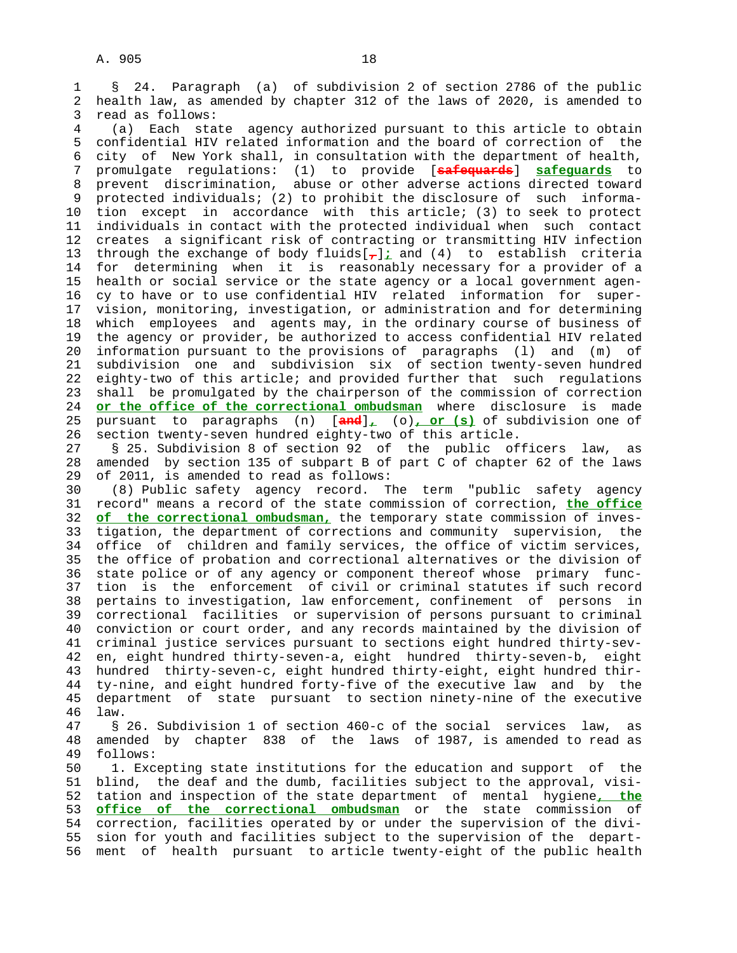1 § 24. Paragraph (a) of subdivision 2 of section 2786 of the public 2 health law, as amended by chapter 312 of the laws of 2020, is amended to 3 read as follows:

 4 (a) Each state agency authorized pursuant to this article to obtain 5 confidential HIV related information and the board of correction of the 6 city of New York shall, in consultation with the department of health, 7 promulgate regulations: (1) to provide [**safequards**] **safeguards** to 8 prevent discrimination, abuse or other adverse actions directed toward<br>9 protected individuals; (2) to prohibit the disclosure of such informa- 9 protected individuals; (2) to prohibit the disclosure of such informa- 10 tion except in accordance with this article; (3) to seek to protect 11 individuals in contact with the protected individual when such contact 12 creates a significant risk of contracting or transmitting HIV infection 13 through the exchange of body fluids[**,**]**;** and (4) to establish criteria 14 for determining when it is reasonably necessary for a provider of a 15 health or social service or the state agency or a local government agen- 16 cy to have or to use confidential HIV related information for super- 17 vision, monitoring, investigation, or administration and for determining 18 which employees and agents may, in the ordinary course of business of 19 the agency or provider, be authorized to access confidential HIV related 20 information pursuant to the provisions of paragraphs (l) and (m) of 21 subdivision one and subdivision six of section twenty-seven hundred 22 eighty-two of this article; and provided further that such regulations 23 shall be promulgated by the chairperson of the commission of correction 24 **or the office of the correctional ombudsman** where disclosure is made 25 pursuant to paragraphs (n) [**and**]**,** (o)**, or (s)** of subdivision one of 26 section twenty-seven hundred eighty-two of this article.

 27 § 25. Subdivision 8 of section 92 of the public officers law, as 28 amended by section 135 of subpart B of part C of chapter 62 of the laws 29 of 2011, is amended to read as follows:

 30 (8) Public safety agency record. The term "public safety agency 31 record" means a record of the state commission of correction, **the office** 32 **of the correctional ombudsman,** the temporary state commission of inves- 33 tigation, the department of corrections and community supervision, the 34 office of children and family services, the office of victim services, 35 the office of probation and correctional alternatives or the division of 36 state police or of any agency or component thereof whose primary func- 37 tion is the enforcement of civil or criminal statutes if such record 38 pertains to investigation, law enforcement, confinement of persons in 39 correctional facilities or supervision of persons pursuant to criminal 40 conviction or court order, and any records maintained by the division of 41 criminal justice services pursuant to sections eight hundred thirty-sev- 42 en, eight hundred thirty-seven-a, eight hundred thirty-seven-b, eight 43 hundred thirty-seven-c, eight hundred thirty-eight, eight hundred thir- 44 ty-nine, and eight hundred forty-five of the executive law and by the 45 department of state pursuant to section ninety-nine of the executive 46 law.

 47 § 26. Subdivision 1 of section 460-c of the social services law, as 48 amended by chapter 838 of the laws of 1987, is amended to read as 49 follows:

 50 1. Excepting state institutions for the education and support of the 51 blind, the deaf and the dumb, facilities subject to the approval, visi- 52 tation and inspection of the state department of mental hygiene**, the** 53 **office of the correctional ombudsman** or the state commission of 54 correction, facilities operated by or under the supervision of the divi- 55 sion for youth and facilities subject to the supervision of the depart- 56 ment of health pursuant to article twenty-eight of the public health